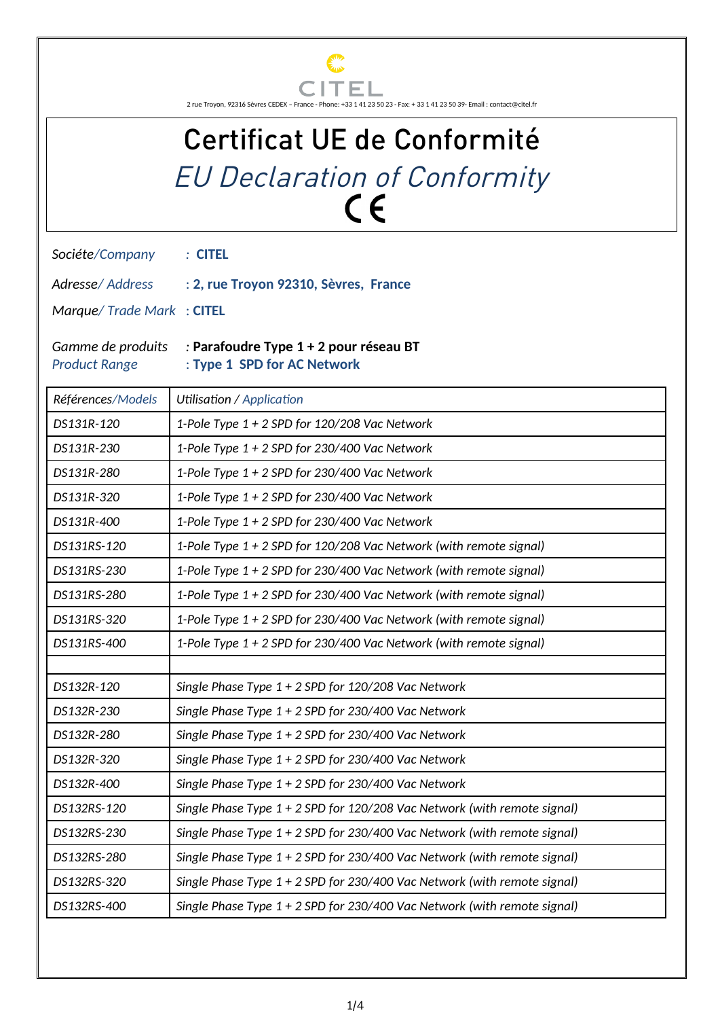

## Certificat UE de Conformité EU Declaration of Conformity

*Sociéte/Company :* **CITEL**

*Adresse/ Address* : **2, rue Troyon 92310, Sèvres, France**

*Marque/ Trade Mark* : **CITEL**

## *Gamme de produits :* **Parafoudre Type 1 + 2 pour réseau BT** *Product Range* : **Type 1 SPD for AC Network**

| Références/Models | Utilisation / Application                                                  |  |
|-------------------|----------------------------------------------------------------------------|--|
| DS131R-120        | 1-Pole Type 1 + 2 SPD for 120/208 Vac Network                              |  |
| DS131R-230        | 1-Pole Type 1 + 2 SPD for 230/400 Vac Network                              |  |
| DS131R-280        | 1-Pole Type 1 + 2 SPD for 230/400 Vac Network                              |  |
| DS131R-320        | 1-Pole Type 1 + 2 SPD for 230/400 Vac Network                              |  |
| DS131R-400        | 1-Pole Type 1 + 2 SPD for 230/400 Vac Network                              |  |
| DS131RS-120       | 1-Pole Type 1 + 2 SPD for 120/208 Vac Network (with remote signal)         |  |
| DS131RS-230       | 1-Pole Type 1 + 2 SPD for 230/400 Vac Network (with remote signal)         |  |
| DS131RS-280       | 1-Pole Type 1 + 2 SPD for 230/400 Vac Network (with remote signal)         |  |
| DS131RS-320       | 1-Pole Type 1 + 2 SPD for 230/400 Vac Network (with remote signal)         |  |
| DS131RS-400       | 1-Pole Type 1 + 2 SPD for 230/400 Vac Network (with remote signal)         |  |
|                   |                                                                            |  |
| DS132R-120        | Single Phase Type 1 + 2 SPD for 120/208 Vac Network                        |  |
| DS132R-230        | Single Phase Type $1 + 2$ SPD for 230/400 Vac Network                      |  |
| DS132R-280        | Single Phase Type $1 + 2$ SPD for 230/400 Vac Network                      |  |
| DS132R-320        | Single Phase Type 1 + 2 SPD for 230/400 Vac Network                        |  |
| DS132R-400        | Single Phase Type $1 + 2$ SPD for 230/400 Vac Network                      |  |
| DS132RS-120       | Single Phase Type 1 + 2 SPD for 120/208 Vac Network (with remote signal)   |  |
| DS132RS-230       | Single Phase Type $1 + 2$ SPD for 230/400 Vac Network (with remote signal) |  |
| DS132RS-280       | Single Phase Type 1 + 2 SPD for 230/400 Vac Network (with remote signal)   |  |
| DS132RS-320       | Single Phase Type $1 + 2$ SPD for 230/400 Vac Network (with remote signal) |  |
| DS132RS-400       | Single Phase Type 1 + 2 SPD for 230/400 Vac Network (with remote signal)   |  |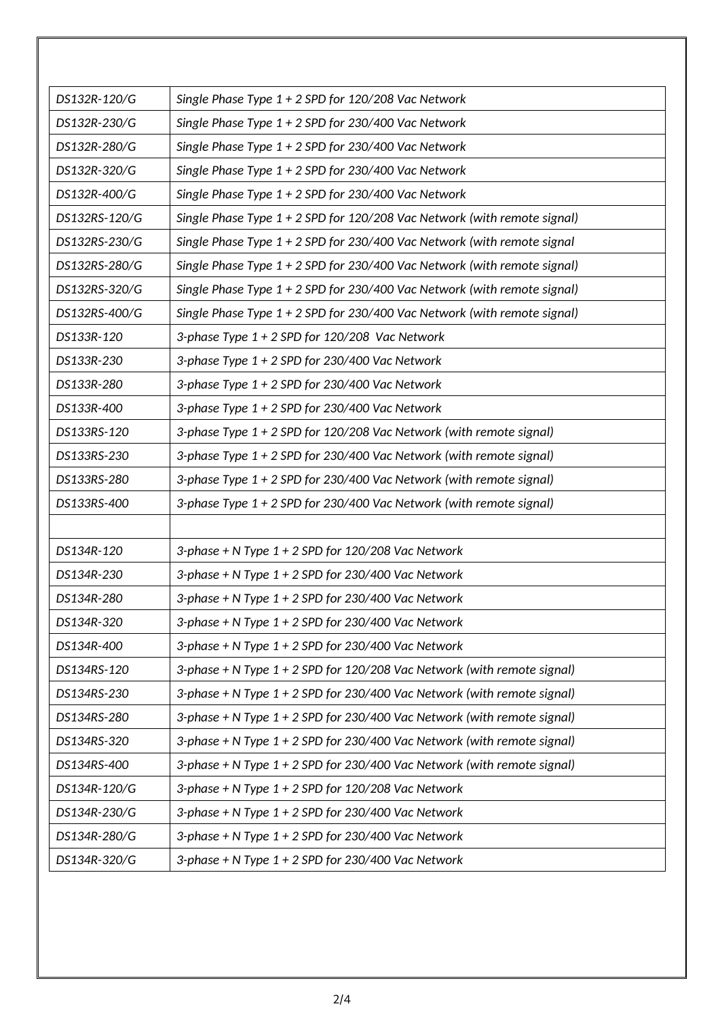| DS132R-120/G  | Single Phase Type 1 + 2 SPD for 120/208 Vac Network                        |  |
|---------------|----------------------------------------------------------------------------|--|
| DS132R-230/G  | Single Phase Type $1 + 2$ SPD for 230/400 Vac Network                      |  |
| DS132R-280/G  | Single Phase Type $1 + 2$ SPD for 230/400 Vac Network                      |  |
| DS132R-320/G  | Single Phase Type 1 + 2 SPD for 230/400 Vac Network                        |  |
| DS132R-400/G  | Single Phase Type 1 + 2 SPD for 230/400 Vac Network                        |  |
| DS132RS-120/G | Single Phase Type 1 + 2 SPD for 120/208 Vac Network (with remote signal)   |  |
| DS132RS-230/G | Single Phase Type $1 + 2$ SPD for 230/400 Vac Network (with remote signal  |  |
| DS132RS-280/G | Single Phase Type $1 + 2$ SPD for 230/400 Vac Network (with remote signal) |  |
| DS132RS-320/G | Single Phase Type 1 + 2 SPD for 230/400 Vac Network (with remote signal)   |  |
| DS132RS-400/G | Single Phase Type $1 + 2$ SPD for 230/400 Vac Network (with remote signal) |  |
| DS133R-120    | 3-phase Type 1 + 2 SPD for 120/208 Vac Network                             |  |
| DS133R-230    | 3-phase Type 1 + 2 SPD for 230/400 Vac Network                             |  |
| DS133R-280    | 3-phase Type 1 + 2 SPD for 230/400 Vac Network                             |  |
| DS133R-400    | 3-phase Type 1 + 2 SPD for 230/400 Vac Network                             |  |
| DS133RS-120   | 3-phase Type 1 + 2 SPD for 120/208 Vac Network (with remote signal)        |  |
| DS133RS-230   | 3-phase Type 1 + 2 SPD for 230/400 Vac Network (with remote signal)        |  |
| DS133RS-280   | 3-phase Type 1 + 2 SPD for 230/400 Vac Network (with remote signal)        |  |
| DS133RS-400   | 3-phase Type 1 + 2 SPD for 230/400 Vac Network (with remote signal)        |  |
|               |                                                                            |  |
| DS134R-120    | 3-phase + N Type $1 + 2$ SPD for 120/208 Vac Network                       |  |
| DS134R-230    | 3-phase + N Type $1 + 2$ SPD for 230/400 Vac Network                       |  |
| DS134R-280    | 3-phase + N Type 1 + 2 SPD for 230/400 Vac Network                         |  |
| DS134R-320    | 3-phase + N Type $1 + 2$ SPD for 230/400 Vac Network                       |  |
| DS134R-400    | 3-phase + N Type $1 + 2$ SPD for 230/400 Vac Network                       |  |
| DS134RS-120   | 3-phase + N Type 1 + 2 SPD for 120/208 Vac Network (with remote signal)    |  |
| DS134RS-230   | 3-phase + N Type 1 + 2 SPD for 230/400 Vac Network (with remote signal)    |  |
| DS134RS-280   | 3-phase + N Type 1 + 2 SPD for 230/400 Vac Network (with remote signal)    |  |
| DS134RS-320   | 3-phase + N Type 1 + 2 SPD for 230/400 Vac Network (with remote signal)    |  |
| DS134RS-400   | 3-phase + N Type 1 + 2 SPD for 230/400 Vac Network (with remote signal)    |  |
| DS134R-120/G  | 3-phase + N Type $1 + 2$ SPD for 120/208 Vac Network                       |  |
| DS134R-230/G  | 3-phase + N Type $1 + 2$ SPD for 230/400 Vac Network                       |  |
| DS134R-280/G  | 3-phase + N Type $1 + 2$ SPD for 230/400 Vac Network                       |  |
| DS134R-320/G  | 3-phase + N Type 1 + 2 SPD for 230/400 Vac Network                         |  |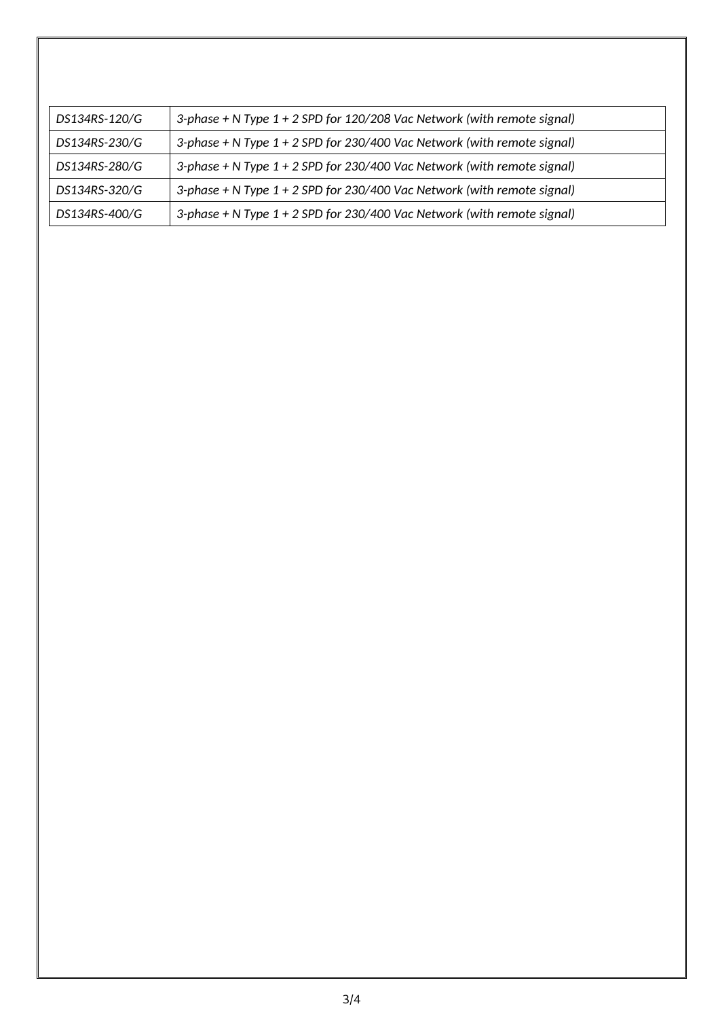| DS134RS-120/G | 3-phase + N Type 1 + 2 SPD for 120/208 Vac Network (with remote signal) |
|---------------|-------------------------------------------------------------------------|
| DS134RS-230/G | 3-phase + N Type 1 + 2 SPD for 230/400 Vac Network (with remote signal) |
| DS134RS-280/G | 3-phase + N Type 1 + 2 SPD for 230/400 Vac Network (with remote signal) |
| DS134RS-320/G | 3-phase + N Type 1 + 2 SPD for 230/400 Vac Network (with remote signal) |
| DS134RS-400/G | 3-phase + N Type 1 + 2 SPD for 230/400 Vac Network (with remote signal) |